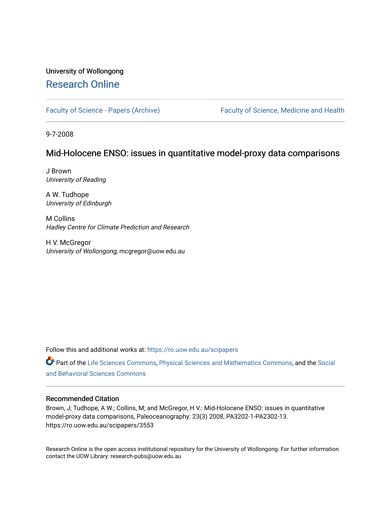# University of Wollongong [Research Online](https://ro.uow.edu.au/)

[Faculty of Science - Papers \(Archive\)](https://ro.uow.edu.au/scipapers) Faculty of Science, Medicine and Health

9-7-2008

# Mid-Holocene ENSO: issues in quantitative model-proxy data comparisons

J Brown University of Reading

A W. Tudhope University of Edinburgh

M Collins Hadley Centre for Climate Prediction and Research

H V. McGregor University of Wollongong, mcgregor@uow.edu.au

Follow this and additional works at: [https://ro.uow.edu.au/scipapers](https://ro.uow.edu.au/scipapers?utm_source=ro.uow.edu.au%2Fscipapers%2F3553&utm_medium=PDF&utm_campaign=PDFCoverPages)

Part of the [Life Sciences Commons,](http://network.bepress.com/hgg/discipline/1016?utm_source=ro.uow.edu.au%2Fscipapers%2F3553&utm_medium=PDF&utm_campaign=PDFCoverPages) [Physical Sciences and Mathematics Commons,](http://network.bepress.com/hgg/discipline/114?utm_source=ro.uow.edu.au%2Fscipapers%2F3553&utm_medium=PDF&utm_campaign=PDFCoverPages) and the [Social](http://network.bepress.com/hgg/discipline/316?utm_source=ro.uow.edu.au%2Fscipapers%2F3553&utm_medium=PDF&utm_campaign=PDFCoverPages)  [and Behavioral Sciences Commons](http://network.bepress.com/hgg/discipline/316?utm_source=ro.uow.edu.au%2Fscipapers%2F3553&utm_medium=PDF&utm_campaign=PDFCoverPages) 

### Recommended Citation

Brown, J; Tudhope, A W.; Collins, M; and McGregor, H V.: Mid-Holocene ENSO: issues in quantitative model-proxy data comparisons, Paleoceanography: 23(3) 2008, PA3202-1-PA2302-13. https://ro.uow.edu.au/scipapers/3553

Research Online is the open access institutional repository for the University of Wollongong. For further information contact the UOW Library: research-pubs@uow.edu.au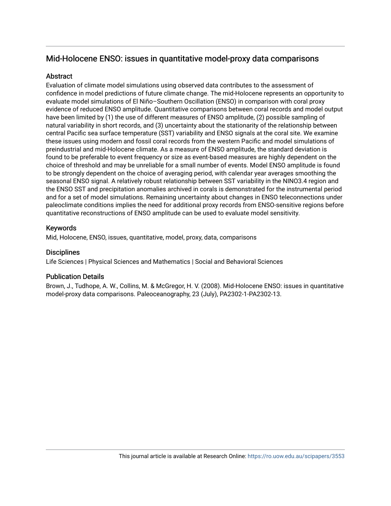# Mid-Holocene ENSO: issues in quantitative model-proxy data comparisons

## Abstract

Evaluation of climate model simulations using observed data contributes to the assessment of confidence in model predictions of future climate change. The mid-Holocene represents an opportunity to evaluate model simulations of El Niño–Southern Oscillation (ENSO) in comparison with coral proxy evidence of reduced ENSO amplitude. Quantitative comparisons between coral records and model output have been limited by (1) the use of different measures of ENSO amplitude, (2) possible sampling of natural variability in short records, and (3) uncertainty about the stationarity of the relationship between central Pacific sea surface temperature (SST) variability and ENSO signals at the coral site. We examine these issues using modern and fossil coral records from the western Pacific and model simulations of preindustrial and mid-Holocene climate. As a measure of ENSO amplitude, the standard deviation is found to be preferable to event frequency or size as event-based measures are highly dependent on the choice of threshold and may be unreliable for a small number of events. Model ENSO amplitude is found to be strongly dependent on the choice of averaging period, with calendar year averages smoothing the seasonal ENSO signal. A relatively robust relationship between SST variability in the NINO3.4 region and the ENSO SST and precipitation anomalies archived in corals is demonstrated for the instrumental period and for a set of model simulations. Remaining uncertainty about changes in ENSO teleconnections under paleoclimate conditions implies the need for additional proxy records from ENSO-sensitive regions before quantitative reconstructions of ENSO amplitude can be used to evaluate model sensitivity.

## Keywords

Mid, Holocene, ENSO, issues, quantitative, model, proxy, data, comparisons

## **Disciplines**

Life Sciences | Physical Sciences and Mathematics | Social and Behavioral Sciences

## Publication Details

Brown, J., Tudhope, A. W., Collins, M. & McGregor, H. V. (2008). Mid-Holocene ENSO: issues in quantitative model-proxy data comparisons. Paleoceanography, 23 (July), PA2302-1-PA2302-13.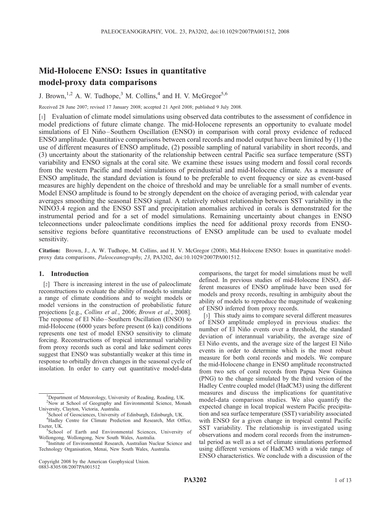# Mid-Holocene ENSO: Issues in quantitative model-proxy data comparisons

J. Brown,<sup>1,2</sup> A. W. Tudhope,<sup>3</sup> M. Collins,<sup>4</sup> and H. V. McGregor<sup>5,6</sup>

Received 28 June 2007; revised 17 January 2008; accepted 21 April 2008; published 9 July 2008.

[1] Evaluation of climate model simulations using observed data contributes to the assessment of confidence in model predictions of future climate change. The mid-Holocene represents an opportunity to evaluate model simulations of El Niño–Southern Oscillation (ENSO) in comparison with coral proxy evidence of reduced ENSO amplitude. Quantitative comparisons between coral records and model output have been limited by (1) the use of different measures of ENSO amplitude, (2) possible sampling of natural variability in short records, and (3) uncertainty about the stationarity of the relationship between central Pacific sea surface temperature (SST) variability and ENSO signals at the coral site. We examine these issues using modern and fossil coral records from the western Pacific and model simulations of preindustrial and mid-Holocene climate. As a measure of ENSO amplitude, the standard deviation is found to be preferable to event frequency or size as event-based measures are highly dependent on the choice of threshold and may be unreliable for a small number of events. Model ENSO amplitude is found to be strongly dependent on the choice of averaging period, with calendar year averages smoothing the seasonal ENSO signal. A relatively robust relationship between SST variability in the NINO3.4 region and the ENSO SST and precipitation anomalies archived in corals is demonstrated for the instrumental period and for a set of model simulations. Remaining uncertainty about changes in ENSO teleconnections under paleoclimate conditions implies the need for additional proxy records from ENSOsensitive regions before quantitative reconstructions of ENSO amplitude can be used to evaluate model sensitivity.

Citation: Brown, J., A. W. Tudhope, M. Collins, and H. V. McGregor (2008), Mid-Holocene ENSO: Issues in quantitative modelproxy data comparisons, Paleoceanography, 23, PA3202, doi:10.1029/2007PA001512.

### 1. Introduction

[2] There is increasing interest in the use of paleoclimate reconstructions to evaluate the ability of models to simulate a range of climate conditions and to weight models or model versions in the construction of probabilistic future projections [e.g., Collins et al., 2006; Brown et al., 2008]. The response of El Niño-Southern Oscillation (ENSO) to mid-Holocene (6000 years before present (6 ka)) conditions represents one test of model ENSO sensitivity to climate forcing. Reconstructions of tropical interannual variability from proxy records such as coral and lake sediment cores suggest that ENSO was substantially weaker at this time in response to orbitally driven changes in the seasonal cycle of insolation. In order to carry out quantitative model-data

Copyright 2008 by the American Geophysical Union. 0883-8305/08/2007PA001512

comparisons, the target for model simulations must be well defined. In previous studies of mid-Holocene ENSO, different measures of ENSO amplitude have been used for models and proxy records, resulting in ambiguity about the ability of models to reproduce the magnitude of weakening of ENSO inferred from proxy records.

[3] This study aims to compare several different measures of ENSO amplitude employed in previous studies: the number of El Niño events over a threshold, the standard deviation of interannual variability, the average size of El Niño events, and the average size of the largest El Niño events in order to determine which is the most robust measure for both coral records and models. We compare the mid-Holocene change in ENSO amplitude reconstructed from two sets of coral records from Papua New Guinea (PNG) to the change simulated by the third version of the Hadley Centre coupled model (HadCM3) using the different measures and discuss the implications for quantitative model-data comparison studies. We also quantify the expected change in local tropical western Pacific precipitation and sea surface temperature (SST) variability associated with ENSO for a given change in tropical central Pacific SST variability. The relationship is investigated using observations and modern coral records from the instrumental period as well as a set of climate simulations performed using different versions of HadCM3 with a wide range of ENSO characteristics. We conclude with a discussion of the

<sup>&</sup>lt;sup>1</sup>Department of Meteorology, University of Reading, Reading, UK. <sup>2</sup>Now at School of Geography and Environmental Science, Monash

University, Clayton, Victoria, Australia. <sup>3</sup> School of Geosciences, University of Edinburgh, Edinburgh, UK.

<sup>4</sup> Hadley Centre for Climate Prediction and Research, Met Office, Exeter, UK. <sup>5</sup>

School of Earth and Environmental Sciences, University of Wollongong, Wollongong, New South Wales, Australia. <sup>6</sup>

<sup>&</sup>lt;sup>6</sup>Institute of Environmental Research, Australian Nuclear Science and Technology Organisation, Menai, New South Wales, Australia.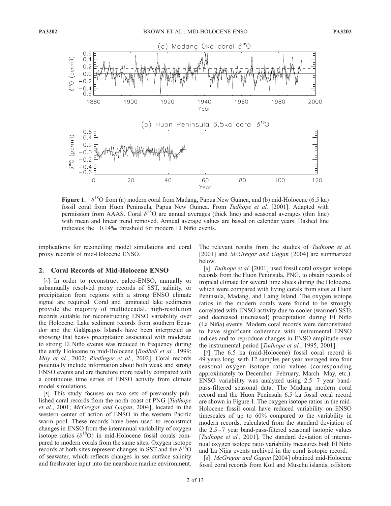

Figure 1.  $\delta^{18}$ O from (a) modern coral from Madang, Papua New Guinea, and (b) mid-Holocene (6.5 ka) fossil coral from Huon Peninsula, Papua New Guinea. From Tudhope et al. [2001]. Adapted with permission from AAAS. Coral  $\delta^{18}O$  are annual averages (thick line) and seasonal averages (thin line) with mean and linear trend removed. Annual average values are based on calendar years. Dashed line indicates the  $+0.14\%$  threshold for modern El Niño events.

implications for reconciling model simulations and coral proxy records of mid-Holocene ENSO.

### 2. Coral Records of Mid-Holocene ENSO

[4] In order to reconstruct paleo-ENSO, annually or subannually resolved proxy records of SST, salinity, or precipitation from regions with a strong ENSO climate signal are required. Coral and laminated lake sediments provide the majority of multidecadal, high-resolution records suitable for reconstructing ENSO variability over the Holocene. Lake sediment records from southern Ecuador and the Galápagos Islands have been interpreted as showing that heavy precipitation associated with moderate to strong El Niño events was reduced in frequency during the early Holocene to mid-Holocene [Rodbell et al., 1999; Moy et al., 2002; Riedinger et al., 2002]. Coral records potentially include information about both weak and strong ENSO events and are therefore more readily compared with a continuous time series of ENSO activity from climate model simulations.

[5] This study focuses on two sets of previously published coral records from the north coast of PNG [Tudhope et al., 2001; McGregor and Gagan, 2004], located in the western center of action of ENSO in the western Pacific warm pool. These records have been used to reconstruct changes in ENSO from the interannual variability of oxygen isotope ratios  $(\delta^{18}O)$  in mid-Holocene fossil corals compared to modern corals from the same sites. Oxygen isotope records at both sites represent changes in SST and the  $\delta^{18}O$ of seawater, which reflects changes in sea surface salinity and freshwater input into the nearshore marine environment.

The relevant results from the studies of *Tudhope et al.* [2001] and *McGregor and Gagan* [2004] are summarized below.

[6] *Tudhope et al.* [2001] used fossil coral oxygen isotope records from the Huon Peninsula, PNG, to obtain records of tropical climate for several time slices during the Holocene, which were compared with living corals from sites at Huon Peninsula, Madang, and Laing Island. The oxygen isotope ratios in the modern corals were found to be strongly correlated with ENSO activity due to cooler (warmer) SSTs and decreased (increased) precipitation during El Niño (La Nin˜a) events. Modern coral records were demonstrated to have significant coherence with instrumental ENSO indices and to reproduce changes in ENSO amplitude over the instrumental period [Tudhope et al., 1995, 2001].

[7] The 6.5 ka (mid-Holocene) fossil coral record is 49 years long, with 12 samples per year averaged into four seasonal oxygen isotope ratio values (corresponding approximately to December –February, March –May, etc.). ENSO variability was analyzed using  $2.5-7$  year bandpass-filtered seasonal data. The Madang modern coral record and the Huon Peninsula 6.5 ka fossil coral record are shown in Figure 1. The oxygen isotope ratios in the mid-Holocene fossil coral have reduced variability on ENSO timescales of up to 60% compared to the variability in modern records, calculated from the standard deviation of the 2.5 –7 year band-pass-filtered seasonal isotopic values [*Tudhope et al.*, 2001]. The standard deviation of interannual oxygen isotope ratio variability measures both El Niño and La Niña events archived in the coral isotopic record.

[8] *McGregor and Gagan* [2004] obtained mid-Holocene fossil coral records from Koil and Muschu islands, offshore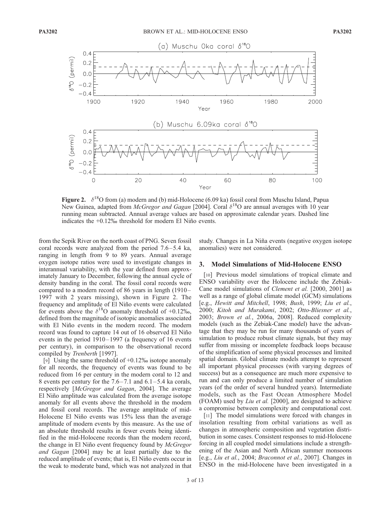

Figure 2.  $\delta^{18}$ O from (a) modern and (b) mid-Holocene (6.09 ka) fossil coral from Muschu Island, Papua New Guinea, adapted from *McGregor and Gagan* [2004]. Coral  $\delta^{18}$ O are annual averages with 10 year running mean subtracted. Annual average values are based on approximate calendar years. Dashed line indicates the  $+0.12\%$  threshold for modern El Niño events.

from the Sepik River on the north coast of PNG. Seven fossil coral records were analyzed from the period  $7.6 - 5.4$  ka, ranging in length from 9 to 89 years. Annual average oxygen isotope ratios were used to investigate changes in interannual variability, with the year defined from approximately January to December, following the annual cycle of density banding in the coral. The fossil coral records were compared to a modern record of 86 years in length (1910 – 1997 with 2 years missing), shown in Figure 2. The frequency and amplitude of El Niño events were calculated for events above the  $\delta^{18}$ O anomaly threshold of +0.12‰, defined from the magnitude of isotopic anomalies associated with El Niño events in the modern record. The modern record was found to capture 14 out of 16 observed El Niño events in the period 1910–1997 (a frequency of 16 events per century), in comparison to the observational record compiled by Trenberth [1997].

[9] Using the same threshold of  $+0.12\%$  isotope anomaly for all records, the frequency of events was found to be reduced from 16 per century in the modern coral to 12 and 8 events per century for the  $7.6-7.1$  and  $6.1-5.4$  ka corals, respectively [McGregor and Gagan, 2004]. The average El Niño amplitude was calculated from the average isotope anomaly for all events above the threshold in the modern and fossil coral records. The average amplitude of mid-Holocene El Niño events was 15% less than the average amplitude of modern events by this measure. As the use of an absolute threshold results in fewer events being identified in the mid-Holocene records than the modern record, the change in El Niño event frequency found by *McGregor* and Gagan [2004] may be at least partially due to the reduced amplitude of events; that is, El Niño events occur in the weak to moderate band, which was not analyzed in that

study. Changes in La Niña events (negative oxygen isotope anomalies) were not considered.

#### 3. Model Simulations of Mid-Holocene ENSO

[10] Previous model simulations of tropical climate and ENSO variability over the Holocene include the Zebiak-Cane model simulations of Clement et al. [2000, 2001] as well as a range of global climate model (GCM) simulations [e.g., Hewitt and Mitchell, 1998; Bush, 1999; Liu et al., 2000; Kitoh and Murakami, 2002; Otto-Bliesner et al., 2003; Brown et al., 2006a, 2008]. Reduced complexity models (such as the Zebiak-Cane model) have the advantage that they may be run for many thousands of years of simulation to produce robust climate signals, but they may suffer from missing or incomplete feedback loops because of the simplification of some physical processes and limited spatial domain. Global climate models attempt to represent all important physical processes (with varying degrees of success) but as a consequence are much more expensive to run and can only produce a limited number of simulation years (of the order of several hundred years). Intermediate models, such as the Fast Ocean Atmosphere Model (FOAM) used by Liu et al. [2000], are designed to achieve a compromise between complexity and computational cost.

[11] The model simulations were forced with changes in insolation resulting from orbital variations as well as changes in atmospheric composition and vegetation distribution in some cases. Consistent responses to mid-Holocene forcing in all coupled model simulations include a strengthening of the Asian and North African summer monsoons [e.g., Liu et al., 2004; Braconnot et al., 2007]. Changes in ENSO in the mid-Holocene have been investigated in a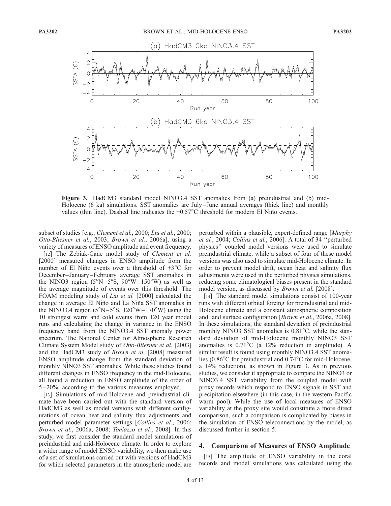

Figure 3. HadCM3 standard model NINO3.4 SST anomalies from (a) preindustrial and (b) mid-Holocene (6 ka) simulations. SST anomalies are July – June annual averages (thick line) and monthly values (thin line). Dashed line indicates the  $+0.57^{\circ}$ C threshold for modern El Niño events.

subset of studies [e.g., Clement et al., 2000; Liu et al., 2000; Otto-Bliesner et al., 2003; Brown et al., 2006a], using a variety of measures of ENSO amplitude and event frequency.

[12] The Zebiak-Cane model study of *Clement et al.* [2000] measured changes in ENSO amplitude from the number of El Niño events over a threshold of  $+3^{\circ}$ C for December – January –February average SST anomalies in the NINO3 region  $(5^{\circ}N-5^{\circ}S, 90^{\circ}W-150^{\circ}W)$  as well as the average magnitude of events over this threshold. The FOAM modeling study of Liu et al. [2000] calculated the change in average El Niño and La Niña SST anomalies in the NINO3.4 region  $(5^{\circ}N-5^{\circ}S, 120^{\circ}W-170^{\circ}W)$  using the 10 strongest warm and cold events from 120 year model runs and calculating the change in variance in the ENSO frequency band from the NINO3.4 SST anomaly power spectrum. The National Center for Atmospheric Research Climate System Model study of Otto-Bliesner et al. [2003] and the HadCM3 study of Brown et al. [2008] measured ENSO amplitude change from the standard deviation of monthly NINO3 SST anomalies. While these studies found different changes in ENSO frequency in the mid-Holocene, all found a reduction in ENSO amplitude of the order of 5 – 20%, according to the various measures employed.

[13] Simulations of mid-Holocene and preindustrial climate have been carried out with the standard version of HadCM3 as well as model versions with different configurations of ocean heat and salinity flux adjustments and perturbed model parameter settings [Collins et al., 2006; Brown et al., 2006a, 2008; Toniazzo et al., 2008]. In this study, we first consider the standard model simulations of preindustrial and mid-Holocene climate. In order to explore a wider range of model ENSO variability, we then make use of a set of simulations carried out with versions of HadCM3 for which selected parameters in the atmospheric model are

perturbed within a plausible, expert-defined range [Murphy et al., 2004; Collins et al., 2006]. A total of 34 ''perturbed physics'' coupled model versions were used to simulate preindustrial climate, while a subset of four of these model versions was also used to simulate mid-Holocene climate. In order to prevent model drift, ocean heat and salinity flux adjustments were used in the perturbed physics simulations, reducing some climatological biases present in the standard model version, as discussed by Brown et al. [2008].

[14] The standard model simulations consist of 100-year runs with different orbital forcing for preindustrial and mid-Holocene climate and a constant atmospheric composition and land surface configuration [Brown et al., 2006a, 2008]. In these simulations, the standard deviation of preindustrial monthly NINO3 SST anomalies is  $0.81^{\circ}$ C, while the standard deviation of mid-Holocene monthly NINO3 SST anomalies is  $0.71^{\circ}$ C (a 12% reduction in amplitude). A similar result is found using monthly NINO3.4 SST anomalies ( $0.86^{\circ}$ C for preindustrial and  $0.74^{\circ}$ C for mid-Holocene, a 14% reduction), as shown in Figure 3. As in previous studies, we consider it appropriate to compare the NINO3 or NINO3.4 SST variability from the coupled model with proxy records which respond to ENSO signals in SST and precipitation elsewhere (in this case, in the western Pacific warm pool). While the use of local measures of ENSO variability at the proxy site would constitute a more direct comparison, such a comparison is complicated by biases in the simulation of ENSO teleconnections by the model, as discussed further in section 5.

### 4. Comparison of Measures of ENSO Amplitude

[15] The amplitude of ENSO variability in the coral records and model simulations was calculated using the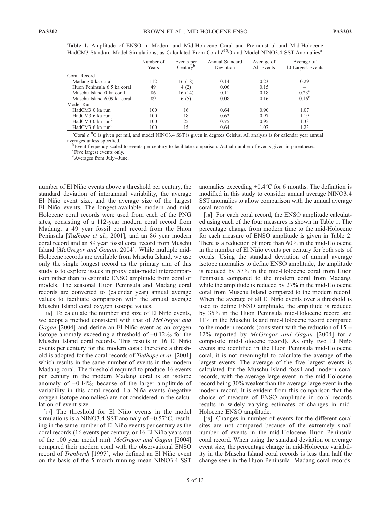|                              | Number of<br>Years | Events per<br>Century' | Annual Standard<br>Deviation | Average of<br>All Events | Average of<br>10 Largest Events |
|------------------------------|--------------------|------------------------|------------------------------|--------------------------|---------------------------------|
| Coral Record                 |                    |                        |                              |                          |                                 |
| Madang 0 ka coral            | 112                | 16 (18)                | 0.14                         | 0.23                     | 0.29                            |
| Huon Peninsula 6.5 ka coral  | 49                 | 4(2)                   | 0.06                         | 0.15                     |                                 |
| Muschu Island 0 ka coral     | 86                 | 16(14)                 | 0.11                         | 0.18                     | $0.23^{\circ}$                  |
| Muschu Island 6.09 ka coral  | 89                 | 6(5)                   | 0.08                         | 0.16                     | 0.16 <sup>c</sup>               |
| Model Run                    |                    |                        |                              |                          |                                 |
| HadCM3 0 ka run              | 100                | 16                     | 0.64                         | 0.90                     | 1.07                            |
| HadCM3 6 ka run              | 100                | 18                     | 0.62                         | 0.97                     | 1.19                            |
| HadCM3 0 ka run <sup>d</sup> | 100                | 25                     | 0.75                         | 0.95                     | 1.33                            |
| HadCM3 6 ka run <sup>d</sup> | 100                | 15                     | 0.64                         | 1.07                     | 1.23                            |

Table 1. Amplitude of ENSO in Modern and Mid-Holocene Coral and Preindustrial and Mid-Holocene HadCM3 Standard Model Simulations, as Calculated From Coral  $\delta^{18}O$  and Model NINO3.4 SST Anomalies<sup>a</sup>

<sup>a</sup>Coral  $\delta^{18}O$  is given per mil, and model NINO3.4 SST is given in degrees Celsius. All analysis is for calendar year annual averages unless specified.

<sup>B</sup>Event frequency scaled to events per century to facilitate comparison. Actual number of events given in parentheses. <sup>c</sup>Five largest events only.

<sup>d</sup>Averages from July-June.

number of El Niño events above a threshold per century, the standard deviation of interannual variability, the average El Niño event size, and the average size of the largest El Niño events. The longest-available modern and mid-Holocene coral records were used from each of the PNG sites, consisting of a 112-year modern coral record from Madang, a 49 year fossil coral record from the Huon Peninsula [Tudhope et al., 2001], and an 86 year modern coral record and an 89 year fossil coral record from Muschu Island [McGregor and Gagan, 2004]. While multiple mid-Holocene records are available from Muschu Island, we use only the single longest record as the primary aim of this study is to explore issues in proxy data-model intercomparison rather than to estimate ENSO amplitude from coral or models. The seasonal Huon Peninsula and Madang coral records are converted to (calendar year) annual average values to facilitate comparison with the annual average Muschu Island coral oxygen isotope values.

[16] To calculate the number and size of El Niño events, we adopt a method consistent with that of McGregor and Gagan [2004] and define an El Niño event as an oxygen isotope anomaly exceeding a threshold of  $+0.12\%$  for the Muschu Island coral records. This results in 16 El Niño events per century for the modern coral; therefore a threshold is adopted for the coral records of *Tudhope et al.* [2001] which results in the same number of events in the modern Madang coral. The threshold required to produce 16 events per century in the modern Madang coral is an isotope anomaly of  $+0.14\%$  because of the larger amplitude of variability in this coral record. La Niña events (negative oxygen isotope anomalies) are not considered in the calculation of event size.

[17] The threshold for El Niño events in the model simulations is a NINO3.4 SST anomaly of  $+0.57^{\circ}$ C, resulting in the same number of El Niño events per century as the coral records (16 events per century, or 16 El Niño years out of the 100 year model run). McGregor and Gagan [2004] compared their modern coral with the observational ENSO record of Trenberth [1997], who defined an El Niño event on the basis of the 5 month running mean NINO3.4 SST

anomalies exceeding  $+0.4^{\circ}$ C for 6 months. The definition is modified in this study to consider annual average NINO3.4 SST anomalies to allow comparison with the annual average coral records.

[18] For each coral record, the ENSO amplitude calculated using each of the four measures is shown in Table 1. The percentage change from modern time to the mid-Holocene for each measure of ENSO amplitude is given in Table 2. There is a reduction of more than 60% in the mid-Holocene in the number of El Niño events per century for both sets of corals. Using the standard deviation of annual average isotope anomalies to define ENSO amplitude, the amplitude is reduced by 57% in the mid-Holocene coral from Huon Peninsula compared to the modern coral from Madang, while the amplitude is reduced by 27% in the mid-Holocene coral from Muschu Island compared to the modern record. When the average of all El Niño events over a threshold is used to define ENSO amplitude, the amplitude is reduced by 35% in the Huon Peninsula mid-Holocene record and 11% in the Muschu Island mid-Holocene record compared to the modern records (consistent with the reduction of  $15 \pm$ 12% reported by McGregor and Gagan [2004] for a composite mid-Holocene record). As only two El Niño events are identified in the Huon Peninsula mid-Holocene coral, it is not meaningful to calculate the average of the largest events. The average of the five largest events is calculated for the Muschu Island fossil and modern coral records, with the average large event in the mid-Holocene record being 30% weaker than the average large event in the modern record. It is evident from this comparison that the choice of measure of ENSO amplitude in coral records results in widely varying estimates of changes in mid-Holocene ENSO amplitude.

[19] Changes in number of events for the different coral sites are not compared because of the extremely small number of events in the mid-Holocene Huon Peninsula coral record. When using the standard deviation or average event size, the percentage change in mid-Holocene variability in the Muschu Island coral records is less than half the change seen in the Huon Peninsula –Madang coral records.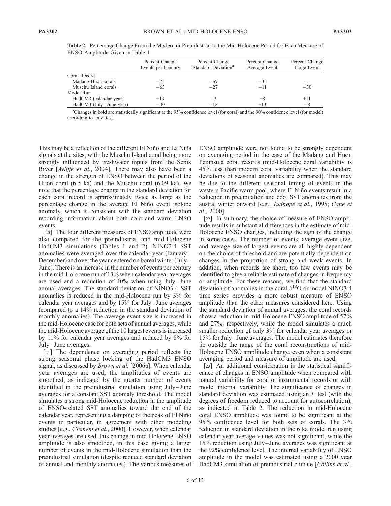|                         | Percent Change<br>Events per Century | Percent Change<br>Standard Deviation <sup>a</sup> | Percent Change<br>Average Event | Percent Change<br>Large Event |
|-------------------------|--------------------------------------|---------------------------------------------------|---------------------------------|-------------------------------|
| Coral Record            |                                      |                                                   |                                 |                               |
| Madang-Huon corals      | $-75$                                | $-57$                                             | $-35$                           |                               |
| Muschu Island corals    | $-63$                                | $-27$                                             | $-11$                           | $-30$                         |
| Model Run               |                                      |                                                   |                                 |                               |
| HadCM3 (calendar year)  | $+13$                                | $-3$                                              | $+8$                            | $+11$                         |
| HadCM3 (July-June year) | $-40$                                | $-15$                                             | $+13$                           | $-8$                          |

Table 2. Percentage Change From the Modern or Preindustrial to the Mid-Holocene Period for Each Measure of ENSO Amplitude Given in Table 1

a Changes in bold are statistically significant at the 95% confidence level (for coral) and the 90% confidence level (for model) according to an  $F$  test.

This may be a reflection of the different El Niño and La Niña signals at the sites, with the Muschu Island coral being more strongly influenced by freshwater inputs from the Sepik River [Ayliffe et al., 2004]. There may also have been a change in the strength of ENSO between the period of the Huon coral (6.5 ka) and the Muschu coral (6.09 ka). We note that the percentage change in the standard deviation for each coral record is approximately twice as large as the percentage change in the average El Niño event isotope anomaly, which is consistent with the standard deviation recording information about both cold and warm ENSO events.

[20] The four different measures of ENSO amplitude were also compared for the preindustrial and mid-Holocene HadCM3 simulations (Tables 1 and 2). NINO3.4 SST anomalies were averaged over the calendar year (January – December) and over the year centered on boreal winter (July – June). There is an increase in the number of events per century in the mid-Holocene run of 13% when calendar year averages are used and a reduction of 40% when using July – June annual averages. The standard deviation of NINO3.4 SST anomalies is reduced in the mid-Holocene run by 3% for calendar year averages and by 15% for July – June averages (compared to a 14% reduction in the standard deviation of monthly anomalies). The average event size is increased in the mid-Holocene case for both sets of annual averages, while the mid-Holocene average of the 10 largest events is increased by 11% for calendar year averages and reduced by 8% for July – June averages.

[21] The dependence on averaging period reflects the strong seasonal phase locking of the HadCM3 ENSO signal, as discussed by Brown et al. [2006a]. When calendar year averages are used, the amplitudes of events are smoothed, as indicated by the greater number of events identified in the preindustrial simulation using July-June averages for a constant SST anomaly threshold. The model simulates a strong mid-Holocene reduction in the amplitude of ENSO-related SST anomalies toward the end of the calendar year, representing a damping of the peak of El Niño events in particular, in agreement with other modeling studies [e.g., Clement et al., 2000]. However, when calendar year averages are used, this change in mid-Holocene ENSO amplitude is also smoothed, in this case giving a larger number of events in the mid-Holocene simulation than the preindustrial simulation (despite reduced standard deviation of annual and monthly anomalies). The various measures of ENSO amplitude were not found to be strongly dependent on averaging period in the case of the Madang and Huon Peninsula coral records (mid-Holocene coral variability is 45% less than modern coral variability when the standard deviations of seasonal anomalies are compared). This may be due to the different seasonal timing of events in the western Pacific warm pool, where El Niño events result in a reduction in precipitation and cool SST anomalies from the austral winter onward [e.g., Tudhope et al., 1995; Cane et al., 2000].

[22] In summary, the choice of measure of ENSO amplitude results in substantial differences in the estimate of mid-Holocene ENSO changes, including the sign of the change in some cases. The number of events, average event size, and average size of largest events are all highly dependent on the choice of threshold and are potentially dependent on changes in the proportion of strong and weak events. In addition, when records are short, too few events may be identified to give a reliable estimate of changes in frequency or amplitude. For these reasons, we find that the standard deviation of anomalies in the coral  $\delta^{18}$ O or model NINO3.4 time series provides a more robust measure of ENSO amplitude than the other measures considered here. Using the standard deviation of annual averages, the coral records show a reduction in mid-Holocene ENSO amplitude of 57% and 27%, respectively, while the model simulates a much smaller reduction of only 3% for calendar year averages or 15% for July – June averages. The model estimates therefore lie outside the range of the coral reconstructions of mid-Holocene ENSO amplitude change, even when a consistent averaging period and measure of amplitude are used.

[23] An additional consideration is the statistical significance of changes in ENSO amplitude when compared with natural variability for coral or instrumental records or with model internal variability. The significance of changes in standard deviation was estimated using an  $F$  test (with the degrees of freedom reduced to account for autocorrelation), as indicated in Table 2. The reduction in mid-Holocene coral ENSO amplitude was found to be significant at the 95% confidence level for both sets of corals. The 3% reduction in standard deviation in the 6 ka model run using calendar year average values was not significant, while the 15% reduction using July – June averages was significant at the 92% confidence level. The internal variability of ENSO amplitude in the model was estimated using a 2000 year HadCM3 simulation of preindustrial climate [Collins et al.,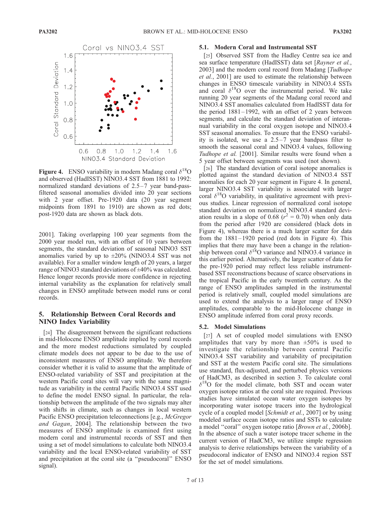

**Figure 4.** ENSO variability in modern Madang coral  $\delta^{18}$ O and observed (HadISST) NINO3.4 SST from 1881 to 1992: normalized standard deviations of  $2.5-7$  year band-passfiltered seasonal anomalies divided into 20 year sections with 2 year offset. Pre-1920 data (20 year segment midpoints from 1891 to 1910) are shown as red dots; post-1920 data are shown as black dots.

2001]. Taking overlapping 100 year segments from the 2000 year model run, with an offset of 10 years between segments, the standard deviation of seasonal NINO3 SST anomalies varied by up to  $\pm 20\%$  (NINO3.4 SST was not available). For a smaller window length of 20 years, a larger range of NINO3 standard deviations of  $\pm 40\%$  was calculated. Hence longer records provide more confidence in rejecting internal variability as the explanation for relatively small changes in ENSO amplitude between model runs or coral records.

### 5. Relationship Between Coral Records and NINO Index Variability

[24] The disagreement between the significant reductions in mid-Holocene ENSO amplitude implied by coral records and the more modest reductions simulated by coupled climate models does not appear to be due to the use of inconsistent measures of ENSO amplitude. We therefore consider whether it is valid to assume that the amplitude of ENSO-related variability of SST and precipitation at the western Pacific coral sites will vary with the same magnitude as variability in the central Pacific NINO3.4 SST used to define the model ENSO signal. In particular, the relationship between the amplitude of the two signals may alter with shifts in climate, such as changes in local western Pacific ENSO precipitation teleconnections [e.g., *McGregor* and Gagan, 2004]. The relationship between the two measures of ENSO amplitude is examined first using modern coral and instrumental records of SST and then using a set of model simulations to calculate both NINO3.4 variability and the local ENSO-related variability of SST and precipitation at the coral site (a ''pseudocoral'' ENSO signal).

#### 5.1. Modern Coral and Instrumental SST

[25] Observed SST from the Hadley Centre sea ice and sea surface temperature (HadISST) data set [Rayner et al., 2003] and the modern coral record from Madang [Tudhope et al., 2001] are used to estimate the relationship between changes in ENSO timescale variability in NINO3.4 SSTs and coral  $\delta^{18}$ O over the instrumental period. We take running 20 year segments of the Madang coral record and NINO3.4 SST anomalies calculated from HadISST data for the period 1881-1992, with an offset of 2 years between segments, and calculate the standard deviation of interannual variability in the coral oxygen isotope and NINO3.4 SST seasonal anomalies. To ensure that the ENSO variability is isolated, we use a  $2.5-7$  year bandpass filter to smooth the seasonal coral and NINO3.4 values, following Tudhope et al. [2001]. Similar results were found when a 5 year offset between segments was used (not shown).

[26] The standard deviation of coral isotope anomalies is plotted against the standard deviation of NINO3.4 SST anomalies for each 20 year segment in Figure 4. In general, larger NINO3.4 SST variability is associated with larger coral  $\delta^{18}$ O variability, in qualitative agreement with previous studies. Linear regression of normalized coral isotope standard deviation on normalized NINO3.4 standard deviation results in a slope of 0.68 ( $r^2 = 0.70$ ) when only data from the period after 1920 are considered (black dots in Figure 4), whereas there is a much larger scatter for data from the 1881– 1920 period (red dots in Figure 4). This implies that there may have been a change in the relationship between coral  $\delta^{18}O$  variance and NINO3.4 variance in this earlier period. Alternatively, the larger scatter of data for the pre-1920 period may reflect less reliable instrumentbased SST reconstructions because of scarce observations in the tropical Pacific in the early twentieth century. As the range of ENSO amplitudes sampled in the instrumental period is relatively small, coupled model simulations are used to extend the analysis to a larger range of ENSO amplitudes, comparable to the mid-Holocene change in ENSO amplitude inferred from coral proxy records.

#### 5.2. Model Simulations

[27] A set of coupled model simulations with ENSO amplitudes that vary by more than  $\pm 50\%$  is used to investigate the relationship between central Pacific NINO3.4 SST variability and variability of precipitation and SST at the western Pacific coral site. The simulations use standard, flux-adjusted, and perturbed physics versions of HadCM3, as described in section 3. To calculate coral  $\delta^{18}$ O for the model climate, both SST and ocean water oxygen isotope ratios at the coral site are required. Previous studies have simulated ocean water oxygen isotopes by incorporating water isotope tracers into the hydrological cycle of a coupled model [Schmidt et al., 2007] or by using modeled surface ocean isotope ratios and SSTs to calculate a model ''coral'' oxygen isotope ratio [Brown et al., 2006b]. In the absence of such a water isotope tracer scheme in the current version of HadCM3, we utilize simple regression analysis to derive relationships between the variability of a pseudocoral indicator of ENSO and NINO3.4 region SST for the set of model simulations.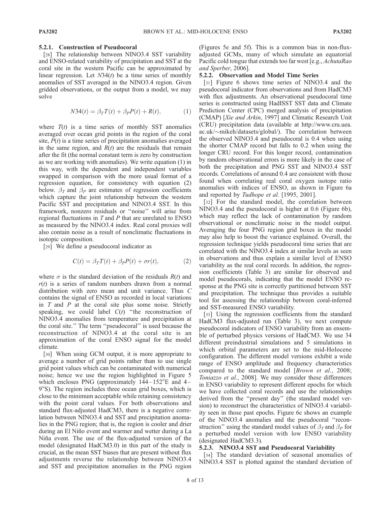#### 5.2.1. Construction of Pseudocoral

[28] The relationship between NINO3.4 SST variability and ENSO-related variability of precipitation and SST at the coral site in the western Pacific can be approximated by linear regression. Let  $N34(t)$  be a time series of monthly anomalies of SST averaged in the NINO3.4 region. Given gridded observations, or the output from a model, we may solve

$$
N34(t) = \beta_T T(t) + \beta_P P(t) + R(t), \qquad (1)
$$

where  $T(t)$  is a time series of monthly SST anomalies averaged over ocean grid points in the region of the coral site,  $P(t)$  is a time series of precipitation anomalies averaged in the same region, and  $R(t)$  are the residuals that remain after the fit (the normal constant term is zero by construction as we are working with anomalies). We write equation (1) in this way, with the dependent and independent variables swapped in comparison with the more usual format of a regression equation, for consistency with equation (2) below.  $\beta_T$  and  $\beta_P$  are estimates of regression coefficients which capture the joint relationship between the western Pacific SST and precipitation and NINO3.4 SST. In this framework, nonzero residuals or ''noise'' will arise from regional fluctuations in  $T$  and  $P$  that are unrelated to ENSO as measured by the NINO3.4 index. Real coral proxies will also contain noise as a result of nonclimatic fluctuations in isotopic composition.

[29] We define a pseudocoral indicator as

$$
C(t) = \beta_T T(t) + \beta_P P(t) + \sigma r(t), \qquad (2)
$$

where  $\sigma$  is the standard deviation of the residuals  $R(t)$  and  $r(t)$  is a series of random numbers drawn from a normal distribution with zero mean and unit variance. Thus C contains the signal of ENSO as recorded in local variations in  $T$  and  $P$  at the coral site plus some noise. Strictly speaking, we could label  $C(t)$  "the reconstruction of NINO3.4 anomalies from temperature and precipitation at the coral site.'' The term ''pseudocoral'' is used because the reconstruction of NINO3.4 at the coral site is an approximation of the coral ENSO signal for the model climate.

[30] When using GCM output, it is more appropriate to average a number of grid points rather than to use single grid point values which can be contaminated with numerical noise; hence we use the region highlighted in Figure 5 which encloses PNG (approximately  $144-152^{\circ}E$  and  $4 9^{\circ}$ S). The region includes three ocean grid boxes, which is close to the minimum acceptable while retaining consistency with the point coral values. For both observations and standard flux-adjusted HadCM3, there is a negative correlation between NINO3.4 and SST and precipitation anomalies in the PNG region; that is, the region is cooler and drier during an El Niño event and warmer and wetter during a La Niña event. The use of the flux-adjusted version of the model (designated HadCM3.0) in this part of the study is crucial, as the mean SST biases that are present without flux adjustments reverse the relationship between NINO3.4 and SST and precipitation anomalies in the PNG region

(Figures 5e and 5f). This is a common bias in non-fluxadjusted GCMs, many of which simulate an equatorial Pacific cold tongue that extends too far west [e.g., AchutaRao] and Sperber, 2006].

#### 5.2.2. Observation and Model Time Series

[31] Figure 6 shows time series of NINO3.4 and the pseudocoral indicator from observations and from HadCM3 with flux adjustments. An observational pseudocoral time series is constructed using HadISST SST data and Climate Prediction Center (CPC) merged analysis of precipitation (CMAP) [Xie and Arkin, 1997] and Climatic Research Unit (CRU) precipitation data (available at http://www.cru.uea.  $ac.uk/\sim$ mikeh/datasets/global/). The correlation between the observed NINO3.4 and pseudocoral is 0.4 when using the shorter CMAP record but falls to 0.2 when using the longer CRU record. For this longer record, contamination by random observational errors is more likely in the case of both the precipitation and PNG SST and NINO3.4 SST records. Correlations of around 0.4 are consistent with those found when correlating real coral oxygen isotope ratio anomalies with indices of ENSO, as shown in Figure 6a and reported by *Tudhope et al.* [1995, 2001].

[32] For the standard model, the correlation between NINO3.4 and the pseudocoral is higher at 0.6 (Figure 6b), which may reflect the lack of contamination by random observational or nonclimatic noise in the model output. Averaging the four PNG region grid boxes in the model may also help to boost the variance explained. Overall, the regression technique yields pseudocoral time series that are correlated with the NINO3.4 index at similar levels as seen in observations and thus explain a similar level of ENSO variability as the real coral records. In addition, the regression coefficients (Table 3) are similar for observed and model pseudocorals, indicating that the model ENSO response at the PNG site is correctly partitioned between SST and precipitation. The technique thus provides a suitable tool for assessing the relationship between coral-inferred and SST-measured ENSO variability.

[33] Using the regression coefficients from the standard HadCM3 flux-adjusted run (Table 3), we next compute pseudocoral indicators of ENSO variability from an ensemble of perturbed physics versions of HadCM3. We use 34 different preindustrial simulations and 5 simulations in which orbital parameters are set to the mid-Holocene configuration. The different model versions exhibit a wide range of ENSO amplitude and frequency characteristics compared to the standard model [Brown et al., 2008; Toniazzo et al., 2008]. We may consider these differences in ENSO variability to represent different epochs for which we have collected coral records and use the relationships derived from the ''present day'' (the standard model version) to reconstruct the characteristics of NINO3.4 variability seen in those past epochs. Figure 6c shows an example of the NINO3.4 anomalies and the pseudocoral ''reconstruction" using the standard model values of  $\beta_T$  and  $\beta_P$  for a perturbed model version with low ENSO variability (designated HadCM3.3).

#### 5.2.3. NINO3.4 SST and Pseudocoral Variability

[34] The standard deviation of seasonal anomalies of NINO3.4 SST is plotted against the standard deviation of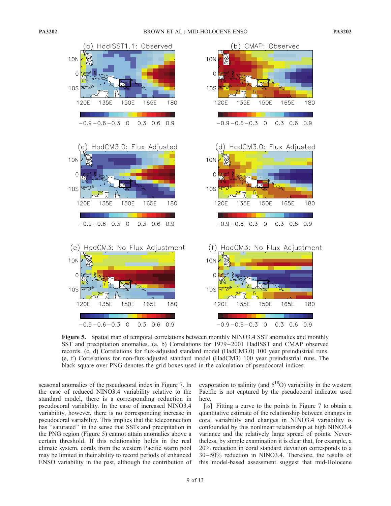

Figure 5. Spatial map of temporal correlations between monthly NINO3.4 SST anomalies and monthly SST and precipitation anomalies. (a, b) Correlations for 1979 – 2001 HadISST and CMAP observed records. (c, d) Correlations for flux-adjusted standard model (HadCM3.0) 100 year preindustrial runs. (e, f ) Correlations for non-flux-adjusted standard model (HadCM3) 100 year preindustrial runs. The black square over PNG denotes the grid boxes used in the calculation of pseudocoral indices.

seasonal anomalies of the pseudocoral index in Figure 7. In the case of reduced NINO3.4 variability relative to the standard model, there is a corresponding reduction in pseudocoral variability. In the case of increased NINO3.4 variability, however, there is no corresponding increase in pseudocoral variability. This implies that the teleconnection has "saturated" in the sense that SSTs and precipitation in the PNG region (Figure 5) cannot attain anomalies above a certain threshold. If this relationship holds in the real climate system, corals from the western Pacific warm pool may be limited in their ability to record periods of enhanced ENSO variability in the past, although the contribution of evaporation to salinity (and  $\delta^{18}O$ ) variability in the western Pacific is not captured by the pseudocoral indicator used here.

[35] Fitting a curve to the points in Figure 7 to obtain a quantitative estimate of the relationship between changes in coral variability and changes in NINO3.4 variability is confounded by this nonlinear relationship at high NINO3.4 variance and the relatively large spread of points. Nevertheless, by simple examination it is clear that, for example, a 20% reduction in coral standard deviation corresponds to a 30– 50% reduction in NINO3.4. Therefore, the results of this model-based assessment suggest that mid-Holocene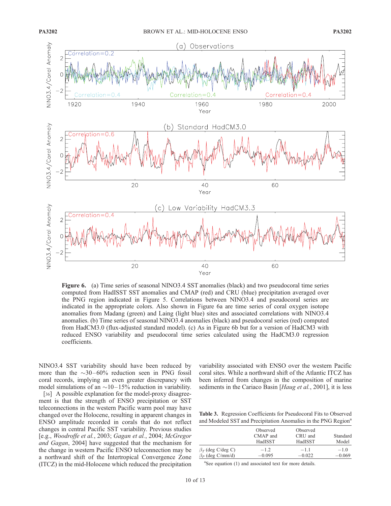

Figure 6. (a) Time series of seasonal NINO3.4 SST anomalies (black) and two pseudocoral time series computed from HadISST SST anomalies and CMAP (red) and CRU (blue) precipitation averaged over the PNG region indicated in Figure 5. Correlations between NINO3.4 and pseudocoral series are indicated in the appropriate colors. Also shown in Figure 6a are time series of coral oxygen isotope anomalies from Madang (green) and Laing (light blue) sites and associated correlations with NINO3.4 anomalies. (b) Time series of seasonal NINO3.4 anomalies (black) and pseudocoral series (red) computed from HadCM3.0 (flux-adjusted standard model). (c) As in Figure 6b but for a version of HadCM3 with reduced ENSO variability and pseudocoral time series calculated using the HadCM3.0 regression coefficients.

NINO3.4 SST variability should have been reduced by more than the  $\sim$ 30–60% reduction seen in PNG fossil coral records, implying an even greater discrepancy with model simulations of an  $\sim$  10–15% reduction in variability.

[36] A possible explanation for the model-proxy disagreement is that the strength of ENSO precipitation or SST teleconnections in the western Pacific warm pool may have changed over the Holocene, resulting in apparent changes in ENSO amplitude recorded in corals that do not reflect changes in central Pacific SST variability. Previous studies [e.g., Woodroffe et al., 2003; Gagan et al., 2004; McGregor and Gagan, 2004] have suggested that the mechanism for the change in western Pacific ENSO teleconnection may be a northward shift of the Intertropical Convergence Zone (ITCZ) in the mid-Holocene which reduced the precipitation

variability associated with ENSO over the western Pacific coral sites. While a northward shift of the Atlantic ITCZ has been inferred from changes in the composition of marine sediments in the Cariaco Basin [Haug et al., 2001], it is less

|  | <b>Table 3.</b> Regression Coefficients for Pseudocoral Fits to Observed   |  |  |
|--|----------------------------------------------------------------------------|--|--|
|  | and Modeled SST and Precipitation Anomalies in the PNG Region <sup>a</sup> |  |  |

|                         | Observed<br>CMAP and<br>HadISST | Observed<br>CRU and<br>HadISST | Standard<br>Model |
|-------------------------|---------------------------------|--------------------------------|-------------------|
| $\beta_T$ (deg C/deg C) | $-1.2$                          | $-11$                          | $-1.0$            |
| $\beta_P$ (deg C/mm/d)  | $-0.095$                        | $-0.022$                       | $-0.069$          |

<sup>a</sup>See equation (1) and associated text for more details.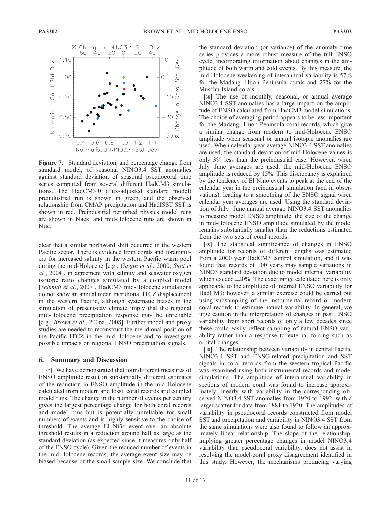

Figure 7. Standard deviation, and percentage change from standard model, of seasonal NINO3.4 SST anomalies against standard deviation of seasonal pseudocoral time series computed from several different HadCM3 simulations. The HadCM3.0 (flux-adjusted standard model) preindustrial run is shown in green, and the observed relationship from CMAP precipitation and HadISST SST is shown in red. Preindustrial perturbed physics model runs are shown in black, and mid-Holocene runs are shown in blue.

clear that a similar northward shift occurred in the western Pacific sector. There is evidence from corals and foraminifera for increased salinity in the western Pacific warm pool during the mid-Holocene [e.g., Gagan et al., 2000; Stott et al., 2004], in agreement with salinity and seawater oxygen isotope ratio changes simulated by a coupled model [Schmidt et al., 2007]. HadCM3 mid-Holocene simulations do not show an annual mean meridional ITCZ displacement in the western Pacific, although systematic biases in the simulation of present-day climate imply that the regional mid-Holocene precipitation response may be unreliable [e.g., Brown et al., 2006a, 2008]. Further model and proxy studies are needed to reconstruct the meridional position of the Pacific ITCZ in the mid-Holocene and to investigate possible impacts on regional ENSO precipitation signals.

#### 6. Summary and Discussion

[37] We have demonstrated that four different measures of ENSO amplitude result in substantially different estimates of the reduction in ENSO amplitude in the mid-Holocene calculated from modern and fossil coral records and coupled model runs. The change in the number of events per century gives the largest percentage change for both coral records and model runs but is potentially unreliable for small numbers of events and is highly sensitive to the choice of threshold. The average El Niño event over an absolute threshold results in a reduction around half as large as the standard deviation (as expected since it measures only half of the ENSO cycle). Given the reduced number of events in the mid-Holocene records, the average event size may be biased because of the small sample size. We conclude that

the standard deviation (or variance) of the anomaly time series provides a more robust measure of the full ENSO cycle, incorporating information about changes in the amplitude of both warm and cold events. By this measure, the mid-Holocene weakening of interannual variability is 57% for the Madang –Huon Peninsula corals and 27% for the Muschu Island corals.

[38] The use of monthly, seasonal, or annual average NINO3.4 SST anomalies has a large impact on the amplitude of ENSO calculated from HadCM3 model simulations. The choice of averaging period appears to be less important for the Madang–Huon Peninsula coral records, which give a similar change from modern to mid-Holocene ENSO amplitude when seasonal or annual isotopic anomalies are used. When calendar year average NINO3.4 SST anomalies are used, the standard deviation of mid-Holocene values is only 3% less than the preindustrial case. However, when July – June averages are used, the mid-Holocene ENSO amplitude is reduced by 15%. This discrepancy is explained by the tendency of El Niño events to peak at the end of the calendar year in the preindustrial simulation (and in observations), leading to a smoothing of the ENSO signal when calendar year averages are used. Using the standard deviation of July – June annual average NINO3.4 SST anomalies to measure model ENSO amplitude, the size of the change in mid-Holocene ENSO amplitude simulated by the model remains substantially smaller than the reductions estimated from the two sets of coral records.

[39] The statistical significance of changes in ENSO amplitude for records of different lengths was estimated from a 2000 year HadCM3 control simulation, and it was found that records of 100 years may sample variations in NINO3 standard deviation due to model internal variability which exceed  $\pm 20\%$ . The exact range calculated here is only applicable to the amplitude of internal ENSO variability for HadCM3; however, a similar exercise could be carried out using subsampling of the instrumental record or modern coral records to estimate natural variability. In general, we urge caution in the interpretation of changes in past ENSO variability from short records of only a few decades since these could easily reflect sampling of natural ENSO variability rather than a response to external forcing such as orbital changes.

[40] The relationship between variability in central Pacific NINO3.4 SST and ENSO-related precipitation and SST signals in coral records from the western tropical Pacific was examined using both instrumental records and model simulations. The amplitude of interannual variability in sections of modern coral was found to increase approximately linearly with variability in the corresponding observed NINO3.4 SST anomalies from 1920 to 1992, with a larger scatter for data from 1881 to 1920. The amplitudes of variability in pseudocoral records constructed from model SST and precipitation and variability in NINO3.4 SST from the same simulations were also found to follow an approximately linear relationship. The slope of the relationship, implying greater percentage changes in model NINO3.4 variability than pseudocoral variability, does not assist in resolving the model-coral proxy disagreement identified in this study. However, the mechanisms producing varying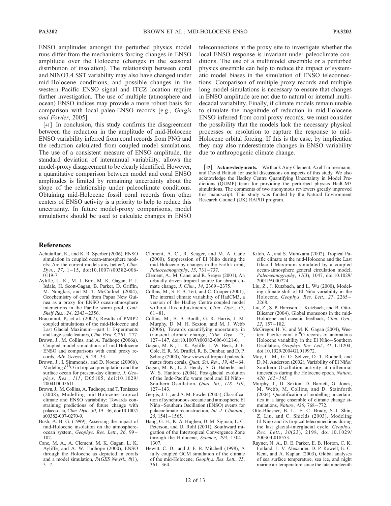ENSO amplitudes amongst the perturbed physics model runs differ from the mechanisms forcing changes in ENSO amplitude over the Holocene (changes in the seasonal distribution of insolation). The relationship between coral and NINO3.4 SST variability may also have changed under mid-Holocene conditions, and possible changes in the western Pacific ENSO signal and ITCZ location require further investigation. The use of multiple (atmosphere and ocean) ENSO indices may provide a more robust basis for comparison with local paleo-ENSO records [e.g., Gergis and Fowler, 2005].

[41] In conclusion, this study confirms the disagreement between the reduction in the amplitude of mid-Holocene ENSO variability inferred from coral records from PNG and the reduction calculated from coupled model simulations. The use of a consistent measure of ENSO amplitude, the standard deviation of interannual variability, allows the model-proxy disagreement to be clearly identified. However, a quantitative comparison between model and coral ENSO amplitudes is limited by remaining uncertainty about the slope of the relationship under paleoclimate conditions. Obtaining mid-Holocene fossil coral records from other centers of ENSO activity is a priority to help to reduce this uncertainty. In future model-proxy comparisons, model simulations should be used to calculate changes in ENSO

teleconnections at the proxy site to investigate whether the local ENSO response is invariant under paleoclimate conditions. The use of a multimodel ensemble or a perturbed physics ensemble can help to reduce the impact of systematic model biases in the simulation of ENSO teleconnections. Comparison of multiple proxy records and multiple long model simulations is necessary to ensure that changes in ENSO amplitude are not due to natural or internal multidecadal variability. Finally, if climate models remain unable to simulate the magnitude of reduction in mid-Holocene ENSO inferred from coral proxy records, we must consider the possibility that the models lack the necessary physical processes or resolution to capture the response to mid-Holocene orbital forcing. If this is the case, by implication they may also underestimate changes in ENSO variability due to anthropogenic climate change.

[42] Acknowledgments. We thank Amy Clement, Axel Timmermann, and David Battisti for useful discussions on aspects of this study. We also acknowledge the Hadley Centre Quantifying Uncertainty in Model Predictions (QUMP) team for providing the perturbed physics HadCM3 simulations. The comments of two anonymous reviewers greatly improved this manuscript. This study was funded by the Natural Environment Research Council (UK) RAPID program.

#### References

- AchutaRao, K., and K. R. Sperber (2006), ENSO simulation in coupled ocean-atmosphere models: Are the current models any better?, Clim.  $Dyn., 27, 1-15, doi:10.1007/s00382-006 0119 - 7.$
- Ayliffe, L. K., M. I. Bird, M. K. Gagan, P. J. Isdale, H. Scott-Gagan, B. Parker, D. Griffin, M. Nongkas, and M. T. McCulloch (2004), Geochemistry of coral from Papua New Guinea as a proxy for ENSO ocean-atmosphere interactions in the Pacific warm pool, Cont. Shelf Res., 24, 2343 – 2356.
- Braconnot, P., et al. (2007), Results of PMIP2 coupled simulations of the mid-Holocene and Last Glacial Maximum—part 1: Experiments and large-scale features, Clim. Past, 3, 261-277.
- Brown, J., M. Collins, and A. Tudhope (2006a), Coupled model simulations of mid-Holocene ENSO and comparisons with coral proxy records, Adv. Geosci., 6, 29-33.
- Brown, J., I. Simmonds, and D. Noone (2006b), Modeling  $\delta^{18}$ O in tropical precipitation and the surface ocean for present-day climate, J. Geophys. Res., 111, D05105, doi:10.1029/ 2004JD005611.
- Brown, J., M. Collins, A. Tudhope, and T. Toniazzo (2008), Modelling mid-Holocene tropical climate and ENSO variability: Towards constraining predictions of future change with palaeo-data, Clim. Dyn., 30, 19-36, doi:10.1007/ s00382-007-0270-9.
- Bush, A. B. G. (1999), Assessing the impact of mid-Holocene insolation on the atmosphereocean system, Geophys. Res. Lett., 26, 99 – 102.
- Cane, M. A., A. Clement, M. K. Gagan, L. K. Ayliffe, and A. W. Tudhope (2000), ENSO through the Holocene as depicted in corals and a model simulation, PAGES Newsl., 8(1),  $3 - 7$ .
- Clement, A. C., R. Seager, and M. A. Cane (2000), Suppression of El Niño during the mid-Holocene by changes in the Earth's orbit, Paleoceanography, 15, 731-737.
- Clement, A., M. Cane, and R. Seager (2001), An orbitally driven tropical source for abrupt climate change, J. Clim., 14, 2369-2375.
- Collins, M., S. F. B. Tett, and C. Cooper (2001), The internal climate variability of HadCM3, a version of the Hadley Centre coupled model without flux adjustments, Clim. Dyn., 17,  $61 - 81$ .
- Collins, M., B. B. Booth, G. R. Harris, J. M. Murphy, D. M. H. Sexton, and M. J. Webb (2006), Towards quantifying uncertainty in transient climate change, Clim. Dyn., 27, 127 – 147, doi:10.1007/s00382-006-0121-0.
- Gagan, M. K., L. K. Ayliffe, J. W. Beck, J. E. Cole, E. R. M. Druffel, R. B. Dunbar, and D. P. Schrag (2000), New views of tropical paleoclimates from corals, Quat. Sci. Rev., 19, 45-64.
- Gagan, M. K., E. J. Hendy, S. G. Haberle, and W. S. Hantoro (2004), Post-glacial evolution of the Indo-Pacific warm pool and El Niño-Southern Oscillation, Quat. Int., 118-119,  $127 - 143$ .
- Gergis, J. L., and A. M. Fowler (2005), Classification of synchronous oceanic and atmospheric El Niño-Southern Oscillation (ENSO) events for palaeoclimate reconstruction, Int. J. Climatol., 25, 1541 – 1565.
- Haug, G. H., K. A. Hughen, D. M. Sigman, L. C. Peterson, and U. Rohl (2001), Southward migration of the Intertropical Convergence Zone through the Holocene, Science, 293, 1304 -1307.
- Hewitt, C. D., and J. F. B. Mitchell (1998), A fully coupled GCM simulation of the climate of the mid-Holocene, Geophys. Res. Lett., 25,  $361 - 364.$
- Kitoh, A., and S. Murakami (2002), Tropical Pacific climate at the mid-Holocene and the Last Glacial Maximum simulated by a coupled ocean-atmosphere general circulation model, Paleoceanography, 17(3), 1047, doi:10.1029/ 2001PA000724.
- Liu, Z., J. Kutzbach, and L. Wu (2000), Modeling climate shift of El Niño variability in the Holocene, Geophys. Res. Lett., 27, 2265-2268.
- Liu, Z., S. P. Harrison, J. Kutzbach, and B. Otto-Bliesner (2004), Global monsoons in the mid-Holocene and oceanic feedback, Clim. Dyn., 22, 157 – 182.
- McGregor, H. V., and M. K. Gagan (2004), Western Pacific coral  $\delta^{18}$ O records of anomalous Holocene variability in the El Niño-Southern Oscillation, Geophys. Res. Lett., 31, L11204, doi:10.1029/2004GL019972.
- Moy, C. M., G. O. Seltzer, D. T. Rodbell, and D. M. Anderson (2002), Variability of El Niño/ Southern Oscillation activity at millennial timescales during the Holocene epoch, Nature,  $420, 162 - 165$
- Murphy, J., D. Sexton, D. Barnett, G. Jones, M. Webb, M. Collins, and D. Stainforth (2004), Quantification of modelling uncertainties in a large ensemble of climate change simulations, Nature, 430, 768 – 772.
- Otto-Bliesner, B. L., E. C. Brady, S.-I. Shin, Z. Liu, and C. Shields (2003), Modeling El Niño and its tropical teleconnections during the last glacial-interglacial cycle, Geophys. Res. Lett., 30(23), 2198, doi:10.1029/ 2003GL018553.
- Rayner, N. A., D. E. Parker, E. B. Horton, C. K. Folland, L. V. Alexander, D. P. Rowell, E. C. Kent, and A. Kaplan (2003), Global analyses of sea surface temperature, sea ice, and night marine air temperature since the late nineteenth